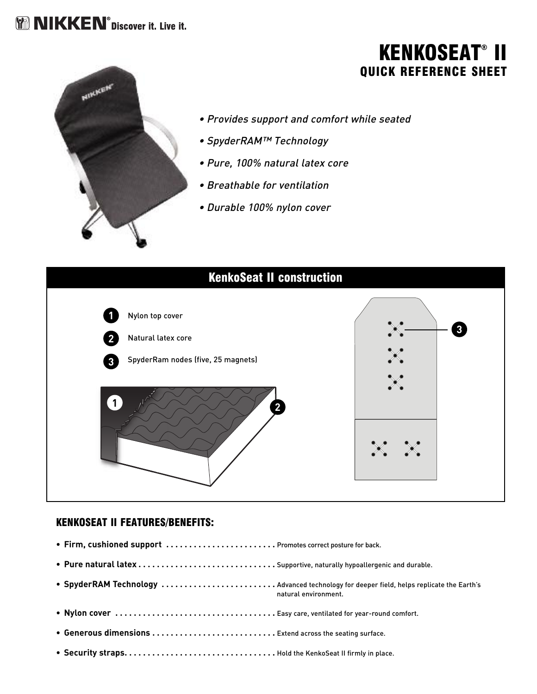## **MM NIKKEN**<sup>®</sup> Discover it. Live it.

### **KENKOSEAT® II QUICK REFERENCE SHEET**



- Provides support and comfort while seated
- SpyderRAM™ Technology
- Pure, 100% natural latex core
- Breathable for ventilation
- Durable 100% nylon cover



#### **KENKOSEAT II FEATURES/BENEFITS:**

**• Firm, cushioned support . . . . . . . . . . . . . . . . . . . . . . . .** Promotes correct posture for back. **• Pure natural latex . . . . . . . . . . . . . . . . . . . . . . . . . . . . . .** Supportive, naturally hypoallergenic and durable. **• SpyderRAM Technology . . . . . . . . . . . . . . . . . . . . . . . . .** Advanced technology for deeper field, helps replicate the Earth's natural environment. **• Nylon cover . . . . . . . . . . . . . . . . . . . . . . . . . . . . . . . . . . .** Easy care, ventilated for year-round comfort. **• Generous dimensions . . . . . . . . . . . . . . . . . . . . . . . . . . .** Extend across the seating surface. **• Security straps. . . . . . . . . . . . . . . . . . . . . . . . . . . . . . . . .** Hold the KenkoSeat II firmly in place.